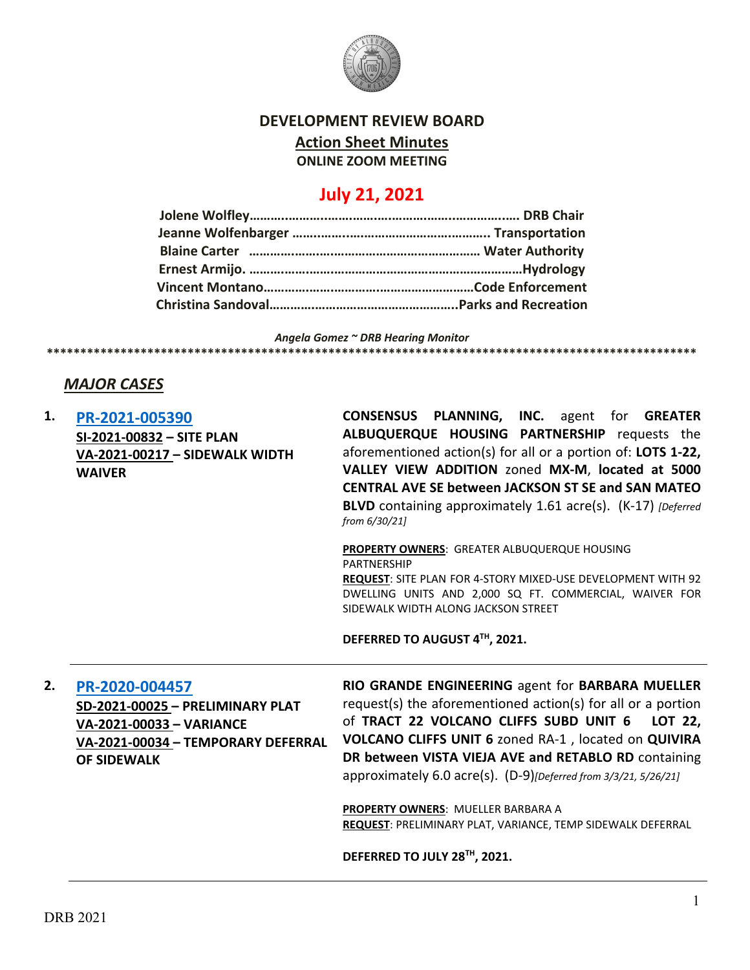

#### **DEVELOPMENT REVIEW BOARD**

**Action Sheet Minutes**

**ONLINE ZOOM MEETING**

# **July 21, 2021**

*Angela Gomez ~ DRB Hearing Monitor*

**\*\*\*\*\*\*\*\*\*\*\*\*\*\*\*\*\*\*\*\*\*\*\*\*\*\*\*\*\*\*\*\*\*\*\*\*\*\*\*\*\*\*\*\*\*\*\*\*\*\*\*\*\*\*\*\*\*\*\*\*\*\*\*\*\*\*\*\*\*\*\*\*\*\*\*\*\*\*\*\*\*\*\*\*\*\*\*\*\*\*\*\*\*\*\*\*\***

### *MAJOR CASES*

**1. [PR-2021-005390](http://data.cabq.gov/government/planning/DRB/PR-2021-005390/DRB%20Submittals/) SI-2021-00832 – SITE PLAN VA-2021-00217 – SIDEWALK WIDTH WAIVER CONSENSUS PLANNING, INC.** agent for **GREATER ALBUQUERQUE HOUSING PARTNERSHIP** requests the aforementioned action(s) for all or a portion of: **LOTS 1-22, VALLEY VIEW ADDITION** zoned **MX-M**, **located at 5000 CENTRAL AVE SE between JACKSON ST SE and SAN MATEO BLVD** containing approximately 1.61 acre(s). (K-17) *[Deferred from 6/30/21]* **PROPERTY OWNERS**: GREATER ALBUQUERQUE HOUSING PARTNERSHIP **REQUEST**: SITE PLAN FOR 4-STORY MIXED-USE DEVELOPMENT WITH 92 DWELLING UNITS AND 2,000 SQ FT. COMMERCIAL, WAIVER FOR SIDEWALK WIDTH ALONG JACKSON STREET **DEFERRED TO AUGUST 4TH, 2021. 2. [PR-2020-004457](http://data.cabq.gov/government/planning/DRB/PR-2020-004457/DRB%20Submittals/) SD-2021-00025 – PRELIMINARY PLAT VA-2021-00033 – VARIANCE VA-2021-00034 – TEMPORARY DEFERRAL OF SIDEWALK RIO GRANDE ENGINEERING** agent for **BARBARA MUELLER** request(s) the aforementioned action(s) for all or a portion of **TRACT 22 VOLCANO CLIFFS SUBD UNIT 6 LOT 22, VOLCANO CLIFFS UNIT 6** zoned RA-1 , located on **QUIVIRA DR between VISTA VIEJA AVE and RETABLO RD** containing approximately 6.0 acre(s). (D-9)*[Deferred from 3/3/21, 5/26/21]* **PROPERTY OWNERS**: MUELLER BARBARA A **REQUEST**: PRELIMINARY PLAT, VARIANCE, TEMP SIDEWALK DEFERRAL

**DEFERRED TO JULY 28TH, 2021.**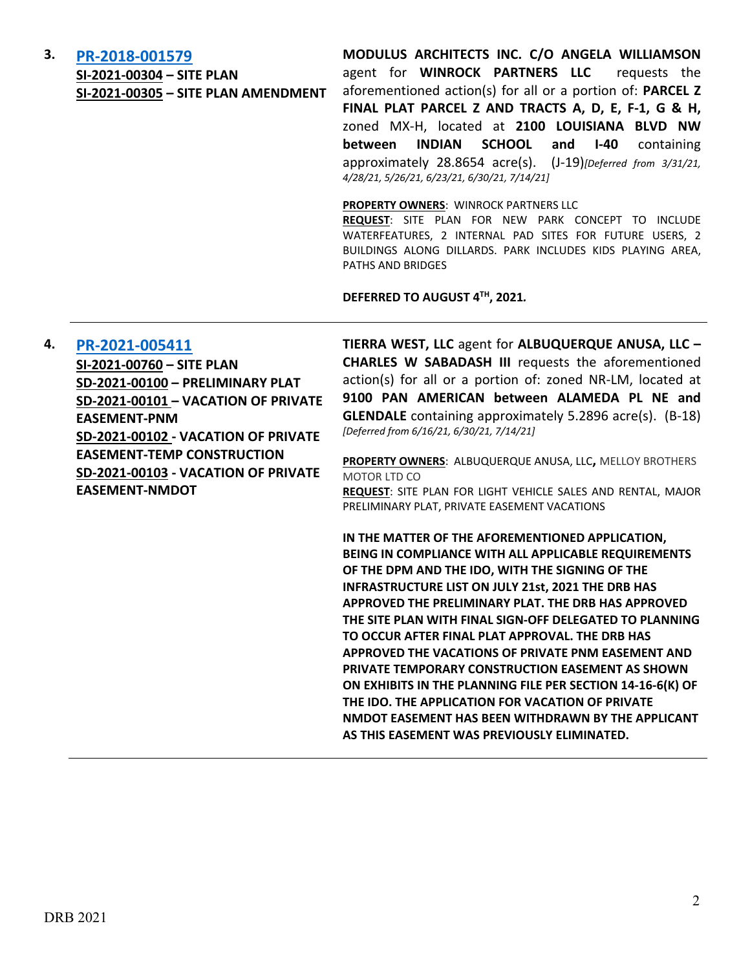#### **3. [PR-2018-001579](http://data.cabq.gov/government/planning/DRB/PR-2018-001579/DRB%20Submittals/PR-2018-001579_Mar_31_2021%20(SITE%20P.,%20SITE%20P.%20AMEND.,%20SKETCH%20PLAT%20%7bPark%7d)/)**

**SI-2021-00304 – SITE PLAN SI-2021-00305 – SITE PLAN AMENDMENT** **MODULUS ARCHITECTS INC. C/O ANGELA WILLIAMSON**  agent for **WINROCK PARTNERS LLC** requests the aforementioned action(s) for all or a portion of: **PARCEL Z FINAL PLAT PARCEL Z AND TRACTS A, D, E, F-1, G & H,**  zoned MX-H, located at **2100 LOUISIANA BLVD NW between INDIAN SCHOOL and I-40** containing approximately 28.8654 acre(s). (J-19)*[Deferred from 3/31/21, 4/28/21, 5/26/21, 6/23/21, 6/30/21, 7/14/21]*

#### **PROPERTY OWNERS**: WINROCK PARTNERS LLC

**REQUEST**: SITE PLAN FOR NEW PARK CONCEPT TO INCLUDE WATERFEATURES, 2 INTERNAL PAD SITES FOR FUTURE USERS, 2 BUILDINGS ALONG DILLARDS. PARK INCLUDES KIDS PLAYING AREA, PATHS AND BRIDGES

**DEFERRED TO AUGUST 4TH, 2021***.*

#### **4. [PR-2021-005411](http://data.cabq.gov/government/planning/DRB/PR-2021-005411/DRB%20Submittals/)**

**SI-2021-00760 – SITE PLAN SD-2021-00100 – PRELIMINARY PLAT SD-2021-00101 – VACATION OF PRIVATE EASEMENT-PNM SD-2021-00102 - VACATION OF PRIVATE EASEMENT-TEMP CONSTRUCTION SD-2021-00103 - VACATION OF PRIVATE EASEMENT-NMDOT**

**TIERRA WEST, LLC** agent for **ALBUQUERQUE ANUSA, LLC – CHARLES W SABADASH III** requests the aforementioned action(s) for all or a portion of: zoned NR-LM, located at **9100 PAN AMERICAN between ALAMEDA PL NE and GLENDALE** containing approximately 5.2896 acre(s). (B-18) *[Deferred from 6/16/21, 6/30/21, 7/14/21]*

**PROPERTY OWNERS**: ALBUQUERQUE ANUSA, LLC**,** MELLOY BROTHERS MOTOR LTD CO

**REQUEST**: SITE PLAN FOR LIGHT VEHICLE SALES AND RENTAL, MAJOR PRELIMINARY PLAT, PRIVATE EASEMENT VACATIONS

**IN THE MATTER OF THE AFOREMENTIONED APPLICATION, BEING IN COMPLIANCE WITH ALL APPLICABLE REQUIREMENTS OF THE DPM AND THE IDO, WITH THE SIGNING OF THE INFRASTRUCTURE LIST ON JULY 21st, 2021 THE DRB HAS APPROVED THE PRELIMINARY PLAT. THE DRB HAS APPROVED THE SITE PLAN WITH FINAL SIGN-OFF DELEGATED TO PLANNING TO OCCUR AFTER FINAL PLAT APPROVAL. THE DRB HAS APPROVED THE VACATIONS OF PRIVATE PNM EASEMENT AND PRIVATE TEMPORARY CONSTRUCTION EASEMENT AS SHOWN ON EXHIBITS IN THE PLANNING FILE PER SECTION 14-16-6(K) OF THE IDO. THE APPLICATION FOR VACATION OF PRIVATE NMDOT EASEMENT HAS BEEN WITHDRAWN BY THE APPLICANT AS THIS EASEMENT WAS PREVIOUSLY ELIMINATED.**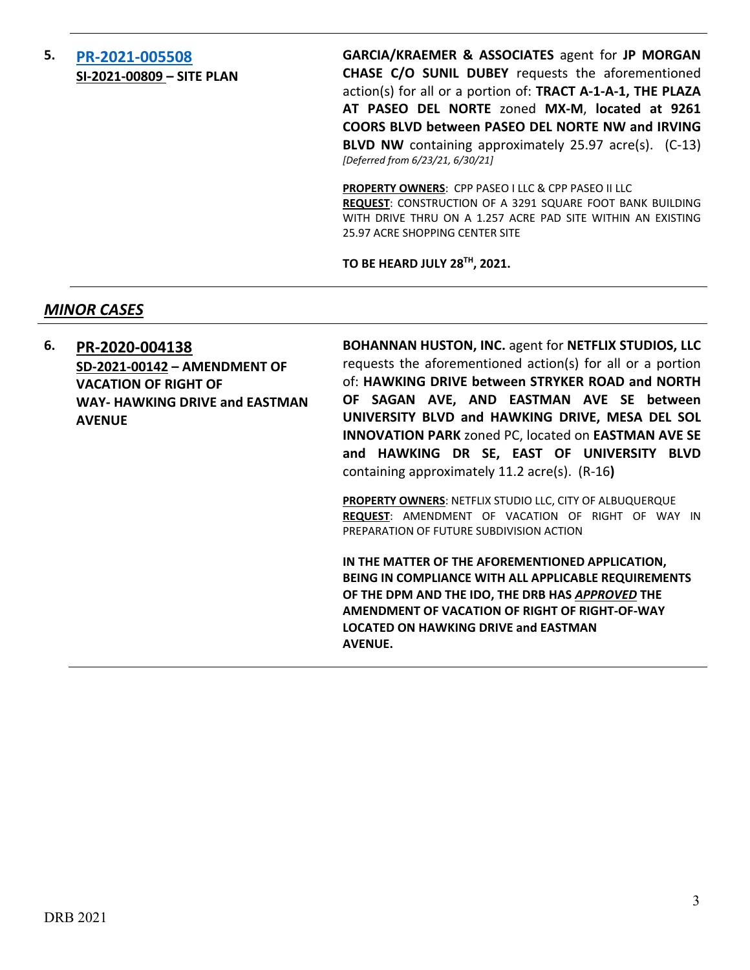#### **5. [PR-2021-005508](http://data.cabq.gov/government/planning/DRB/PR-2021-005508/DRB%20Submittals/) SI-2021-00809 – SITE PLAN**

**GARCIA/KRAEMER & ASSOCIATES** agent for **JP MORGAN CHASE C/O SUNIL DUBEY** requests the aforementioned action(s) for all or a portion of: **TRACT A-1-A-1, THE PLAZA AT PASEO DEL NORTE** zoned **MX-M**, **located at 9261 COORS BLVD between PASEO DEL NORTE NW and IRVING BLVD NW** containing approximately 25.97 acre(s). (C-13) *[Deferred from 6/23/21, 6/30/21]*

**PROPERTY OWNERS**: CPP PASEO I LLC & CPP PASEO II LLC **REQUEST**: CONSTRUCTION OF A 3291 SQUARE FOOT BANK BUILDING WITH DRIVE THRU ON A 1.257 ACRE PAD SITE WITHIN AN EXISTING 25.97 ACRE SHOPPING CENTER SITE

**TO BE HEARD JULY 28TH, 2021.**

#### *MINOR CASES*

**6. [PR-2020-004138](http://data.cabq.gov/government/planning/DRB/PR-2020-004138/DRB%20Submittals/) SD-2021-00142 – AMENDMENT OF VACATION OF RIGHT OF WAY- HAWKING DRIVE and EASTMAN AVENUE**

**BOHANNAN HUSTON, INC.** agent for **NETFLIX STUDIOS, LLC** requests the aforementioned action(s) for all or a portion of: **HAWKING DRIVE between STRYKER ROAD and NORTH OF SAGAN AVE, AND EASTMAN AVE SE between UNIVERSITY BLVD and HAWKING DRIVE, MESA DEL SOL INNOVATION PARK** zoned PC, located on **EASTMAN AVE SE and HAWKING DR SE, EAST OF UNIVERSITY BLVD**  containing approximately 11.2 acre(s). (R-16**)**

**PROPERTY OWNERS**: NETFLIX STUDIO LLC, CITY OF ALBUQUERQUE **REQUEST**: AMENDMENT OF VACATION OF RIGHT OF WAY IN PREPARATION OF FUTURE SUBDIVISION ACTION

**IN THE MATTER OF THE AFOREMENTIONED APPLICATION, BEING IN COMPLIANCE WITH ALL APPLICABLE REQUIREMENTS OF THE DPM AND THE IDO, THE DRB HAS** *APPROVED* **THE AMENDMENT OF VACATION OF RIGHT OF RIGHT-OF-WAY LOCATED ON HAWKING DRIVE and EASTMAN AVENUE.**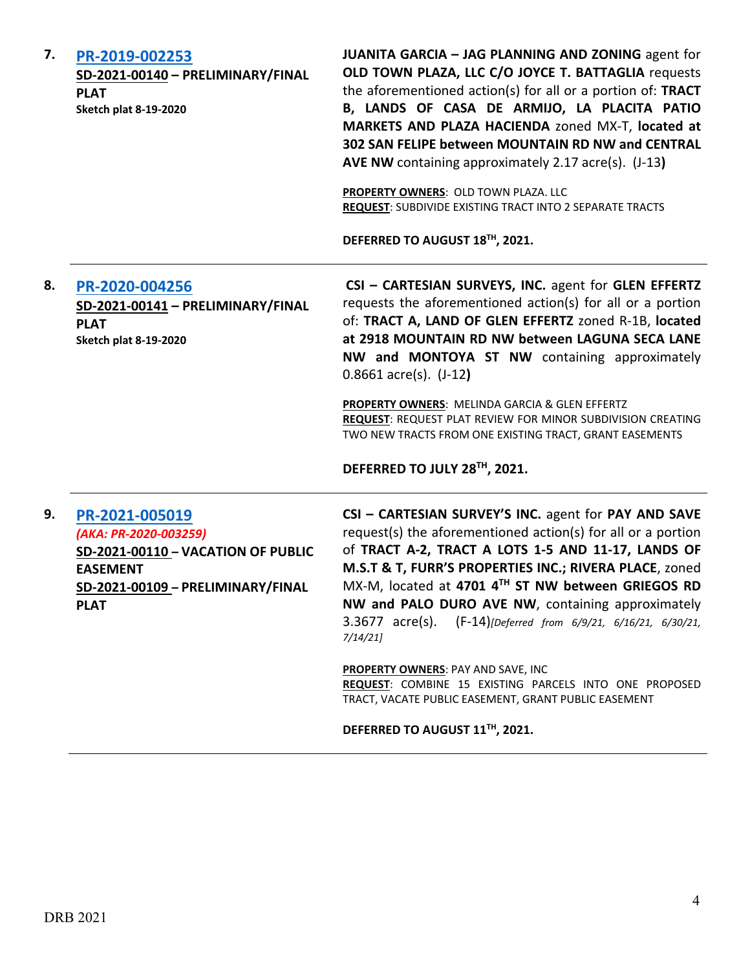| PR-2019-002253<br>SD-2021-00140 - PRELIMINARY/FINAL<br><b>PLAT</b><br><b>Sketch plat 8-19-2020</b>                                                   | JUANITA GARCIA - JAG PLANNING AND ZONING agent for<br>OLD TOWN PLAZA, LLC C/O JOYCE T. BATTAGLIA requests<br>the aforementioned action(s) for all or a portion of: TRACT<br>B, LANDS OF CASA DE ARMIJO, LA PLACITA PATIO<br>MARKETS AND PLAZA HACIENDA zoned MX-T, located at<br>302 SAN FELIPE between MOUNTAIN RD NW and CENTRAL<br>AVE NW containing approximately 2.17 acre(s). (J-13)<br>PROPERTY OWNERS: OLD TOWN PLAZA. LLC<br>REQUEST: SUBDIVIDE EXISTING TRACT INTO 2 SEPARATE TRACTS<br>DEFERRED TO AUGUST 18TH, 2021.                                                                                       |
|------------------------------------------------------------------------------------------------------------------------------------------------------|------------------------------------------------------------------------------------------------------------------------------------------------------------------------------------------------------------------------------------------------------------------------------------------------------------------------------------------------------------------------------------------------------------------------------------------------------------------------------------------------------------------------------------------------------------------------------------------------------------------------|
| PR-2020-004256<br>SD-2021-00141 - PRELIMINARY/FINAL<br><b>PLAT</b><br><b>Sketch plat 8-19-2020</b>                                                   | CSI - CARTESIAN SURVEYS, INC. agent for GLEN EFFERTZ<br>requests the aforementioned action(s) for all or a portion<br>of: TRACT A, LAND OF GLEN EFFERTZ zoned R-1B, located<br>at 2918 MOUNTAIN RD NW between LAGUNA SECA LANE<br>NW and MONTOYA ST NW containing approximately<br>$0.8661$ acre(s). $(J-12)$<br>PROPERTY OWNERS: MELINDA GARCIA & GLEN EFFERTZ<br>REQUEST: REQUEST PLAT REVIEW FOR MINOR SUBDIVISION CREATING<br>TWO NEW TRACTS FROM ONE EXISTING TRACT, GRANT EASEMENTS<br>DEFERRED TO JULY 28TH, 2021.                                                                                              |
| PR-2021-005019<br>(AKA: PR-2020-003259)<br>SD-2021-00110 - VACATION OF PUBLIC<br><b>EASEMENT</b><br>SD-2021-00109 - PRELIMINARY/FINAL<br><b>PLAT</b> | CSI - CARTESIAN SURVEY'S INC. agent for PAY AND SAVE<br>request(s) the aforementioned action(s) for all or a portion<br>of TRACT A-2, TRACT A LOTS 1-5 AND 11-17, LANDS OF<br>M.S.T & T, FURR'S PROPERTIES INC.; RIVERA PLACE, zoned<br>MX-M, located at 4701 4TH ST NW between GRIEGOS RD<br>NW and PALO DURO AVE NW, containing approximately<br>3.3677 acre(s). (F-14)[Deferred from 6/9/21, 6/16/21, 6/30/21,<br>7/14/21<br>PROPERTY OWNERS: PAY AND SAVE, INC<br>REQUEST: COMBINE 15 EXISTING PARCELS INTO ONE PROPOSED<br>TRACT, VACATE PUBLIC EASEMENT, GRANT PUBLIC EASEMENT<br>DEFERRED TO AUGUST 11TH, 2021. |
|                                                                                                                                                      |                                                                                                                                                                                                                                                                                                                                                                                                                                                                                                                                                                                                                        |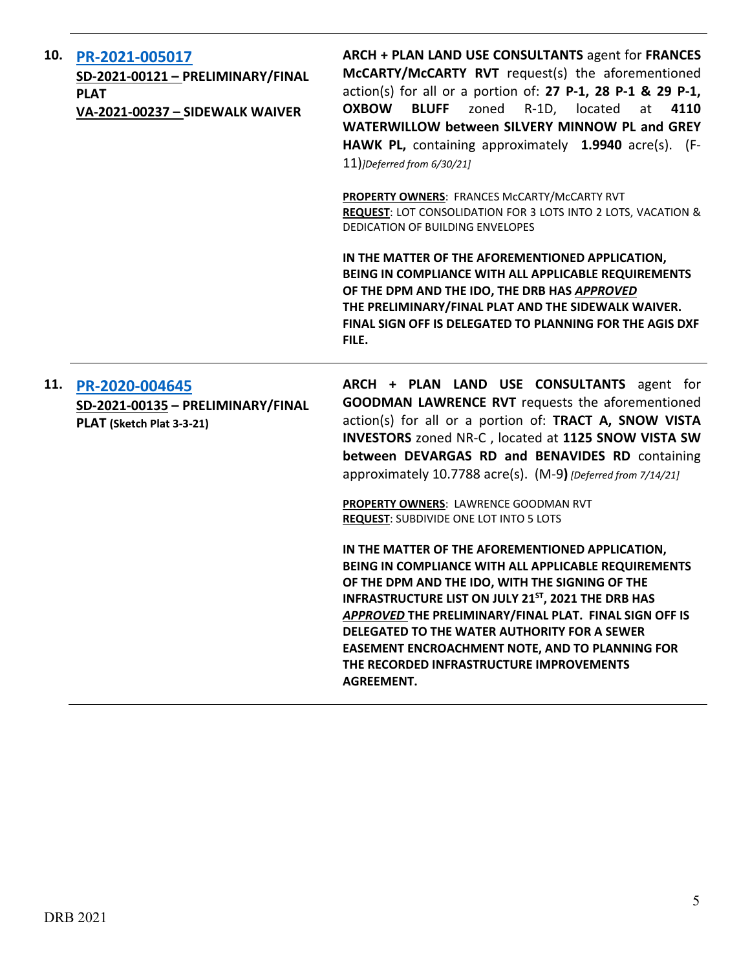| 10. | PR-2021-005017<br>SD-2021-00121 - PRELIMINARY/FINAL<br><b>PLAT</b><br>VA-2021-00237 - SIDEWALK WAIVER | ARCH + PLAN LAND USE CONSULTANTS agent for FRANCES<br>McCARTY/McCARTY RVT request(s) the aforementioned<br>action(s) for all or a portion of: 27 P-1, 28 P-1 & 29 P-1,<br><b>OXBOW</b><br><b>BLUFF</b><br>zoned R-1D, located<br>4110<br>at<br>WATERWILLOW between SILVERY MINNOW PL and GREY<br>HAWK PL, containing approximately 1.9940 acre(s). (F-<br>$11$ )]Deferred from 6/30/21]                                                                                                                                                                                                                                                                                                                                                                                                                                                                                                              |
|-----|-------------------------------------------------------------------------------------------------------|------------------------------------------------------------------------------------------------------------------------------------------------------------------------------------------------------------------------------------------------------------------------------------------------------------------------------------------------------------------------------------------------------------------------------------------------------------------------------------------------------------------------------------------------------------------------------------------------------------------------------------------------------------------------------------------------------------------------------------------------------------------------------------------------------------------------------------------------------------------------------------------------------|
|     |                                                                                                       | PROPERTY OWNERS: FRANCES McCARTY/McCARTY RVT<br>REQUEST: LOT CONSOLIDATION FOR 3 LOTS INTO 2 LOTS, VACATION &<br>DEDICATION OF BUILDING ENVELOPES                                                                                                                                                                                                                                                                                                                                                                                                                                                                                                                                                                                                                                                                                                                                                    |
|     |                                                                                                       | IN THE MATTER OF THE AFOREMENTIONED APPLICATION,<br>BEING IN COMPLIANCE WITH ALL APPLICABLE REQUIREMENTS<br>OF THE DPM AND THE IDO, THE DRB HAS APPROVED<br>THE PRELIMINARY/FINAL PLAT AND THE SIDEWALK WAIVER.<br>FINAL SIGN OFF IS DELEGATED TO PLANNING FOR THE AGIS DXF<br>FILE.                                                                                                                                                                                                                                                                                                                                                                                                                                                                                                                                                                                                                 |
| 11. | PR-2020-004645<br>SD-2021-00135 - PRELIMINARY/FINAL<br>PLAT (Sketch Plat 3-3-21)                      | ARCH + PLAN LAND USE CONSULTANTS agent for<br><b>GOODMAN LAWRENCE RVT</b> requests the aforementioned<br>action(s) for all or a portion of: TRACT A, SNOW VISTA<br>INVESTORS zoned NR-C, located at 1125 SNOW VISTA SW<br>between DEVARGAS RD and BENAVIDES RD containing<br>approximately 10.7788 acre(s). (M-9) [Deferred from 7/14/21]<br>PROPERTY OWNERS: LAWRENCE GOODMAN RVT<br><b>REQUEST: SUBDIVIDE ONE LOT INTO 5 LOTS</b><br>IN THE MATTER OF THE AFOREMENTIONED APPLICATION,<br>BEING IN COMPLIANCE WITH ALL APPLICABLE REQUIREMENTS<br>OF THE DPM AND THE IDO, WITH THE SIGNING OF THE<br><b>INFRASTRUCTURE LIST ON JULY 21ST, 2021 THE DRB HAS</b><br>APPROVED THE PRELIMINARY/FINAL PLAT. FINAL SIGN OFF IS<br>DELEGATED TO THE WATER AUTHORITY FOR A SEWER<br><b>EASEMENT ENCROACHMENT NOTE, AND TO PLANNING FOR</b><br>THE RECORDED INFRASTRUCTURE IMPROVEMENTS<br><b>AGREEMENT.</b> |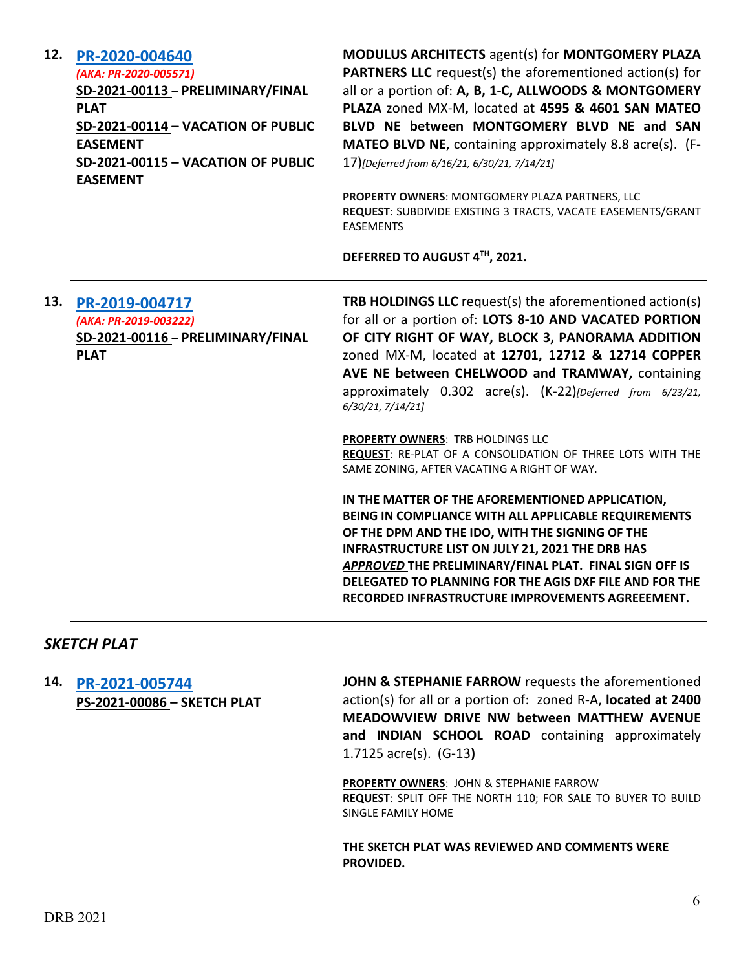| 12. | PR-2020-004640<br>(AKA: PR-2020-005571)<br>SD-2021-00113 - PRELIMINARY/FINAL<br><b>PLAT</b><br>SD-2021-00114 - VACATION OF PUBLIC<br><b>EASEMENT</b><br>SD-2021-00115 - VACATION OF PUBLIC<br><b>EASEMENT</b> | MODULUS ARCHITECTS agent(s) for MONTGOMERY PLAZA<br>PARTNERS LLC request(s) the aforementioned action(s) for<br>all or a portion of: A, B, 1-C, ALLWOODS & MONTGOMERY<br>PLAZA zoned MX-M, located at 4595 & 4601 SAN MATEO<br>BLVD NE between MONTGOMERY BLVD NE and SAN<br>MATEO BLVD NE, containing approximately 8.8 acre(s). (F-<br>17)[Deferred from 6/16/21, 6/30/21, 7/14/21]<br>PROPERTY OWNERS: MONTGOMERY PLAZA PARTNERS, LLC<br>REQUEST: SUBDIVIDE EXISTING 3 TRACTS, VACATE EASEMENTS/GRANT<br><b>EASEMENTS</b><br>DEFERRED TO AUGUST 4TH, 2021.                                                                                                                                                                                                                                                                                                                                                    |
|-----|---------------------------------------------------------------------------------------------------------------------------------------------------------------------------------------------------------------|------------------------------------------------------------------------------------------------------------------------------------------------------------------------------------------------------------------------------------------------------------------------------------------------------------------------------------------------------------------------------------------------------------------------------------------------------------------------------------------------------------------------------------------------------------------------------------------------------------------------------------------------------------------------------------------------------------------------------------------------------------------------------------------------------------------------------------------------------------------------------------------------------------------|
| 13. | PR-2019-004717<br>(AKA: PR-2019-003222)<br>SD-2021-00116 - PRELIMINARY/FINAL<br><b>PLAT</b>                                                                                                                   | TRB HOLDINGS LLC request(s) the aforementioned action(s)<br>for all or a portion of: LOTS 8-10 AND VACATED PORTION<br>OF CITY RIGHT OF WAY, BLOCK 3, PANORAMA ADDITION<br>zoned MX-M, located at 12701, 12712 & 12714 COPPER<br>AVE NE between CHELWOOD and TRAMWAY, containing<br>approximately 0.302 acre(s). (K-22)[Deferred from 6/23/21,<br>6/30/21, 7/14/21]<br>PROPERTY OWNERS: TRB HOLDINGS LLC<br>REQUEST: RE-PLAT OF A CONSOLIDATION OF THREE LOTS WITH THE<br>SAME ZONING, AFTER VACATING A RIGHT OF WAY.<br>IN THE MATTER OF THE AFOREMENTIONED APPLICATION,<br>BEING IN COMPLIANCE WITH ALL APPLICABLE REQUIREMENTS<br>OF THE DPM AND THE IDO, WITH THE SIGNING OF THE<br>INFRASTRUCTURE LIST ON JULY 21, 2021 THE DRB HAS<br>APPROVED THE PRELIMINARY/FINAL PLAT. FINAL SIGN OFF IS<br>DELEGATED TO PLANNING FOR THE AGIS DXF FILE AND FOR THE<br>RECORDED INFRASTRUCTURE IMPROVEMENTS AGREEEMENT. |

### *SKETCH PLAT*

**14. [PR-2021-005744](http://data.cabq.gov/government/planning/DRB/PR-2021-005744/DRB%20Submittals/PR-2021-005744_JULY_21_2021%20(Sketch)/Application/Untitled%20(3).pdf) PS-2021-00086 – SKETCH PLAT**

**JOHN & STEPHANIE FARROW** requests the aforementioned action(s) for all or a portion of: zoned R-A, **located at 2400 MEADOWVIEW DRIVE NW between MATTHEW AVENUE and INDIAN SCHOOL ROAD** containing approximately 1.7125 acre(s). (G-13**)**

**PROPERTY OWNERS**: JOHN & STEPHANIE FARROW **REQUEST**: SPLIT OFF THE NORTH 110; FOR SALE TO BUYER TO BUILD SINGLE FAMILY HOME

**THE SKETCH PLAT WAS REVIEWED AND COMMENTS WERE PROVIDED.**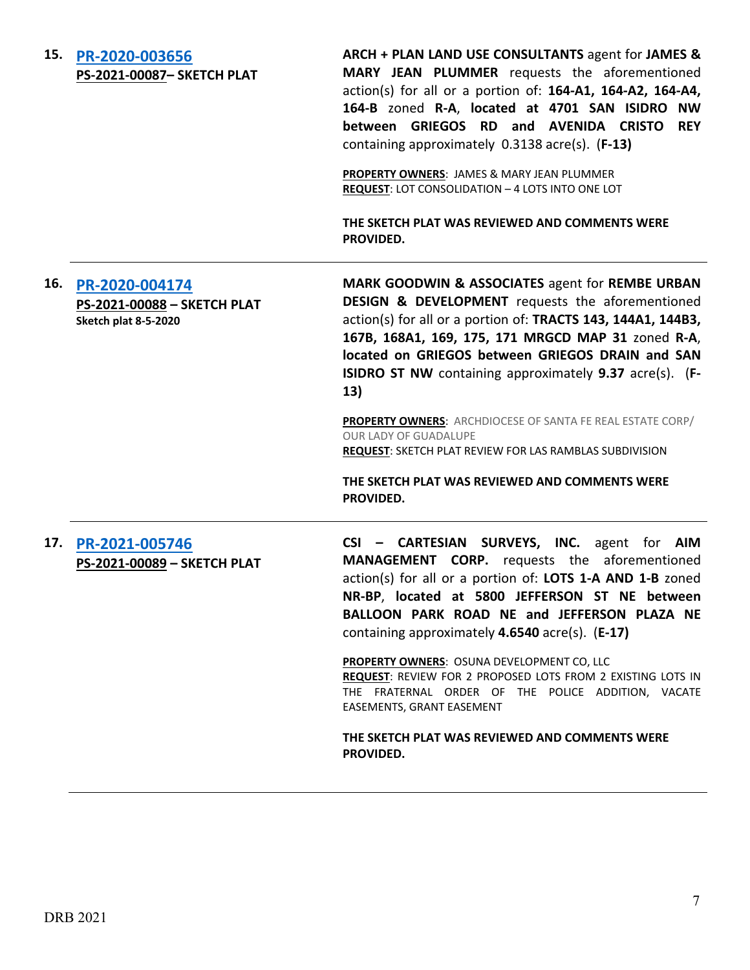#### **15. [PR-2020-003656](http://data.cabq.gov/government/planning/DRB/PR-2020-003656/DRB%20Submittals/PR-2020-003656_JULY_21_2021%20(Sketch)/Application/PR%202020-003656%20SKETCH%20PLAT.pdf) PS-2021-00087– SKETCH PLAT**

**ARCH + PLAN LAND USE CONSULTANTS** agent for **JAMES & MARY JEAN PLUMMER** requests the aforementioned action(s) for all or a portion of: **164-A1, 164-A2, 164-A4, 164-B** zoned **R-A**, **located at 4701 SAN ISIDRO NW between GRIEGOS RD and AVENIDA CRISTO REY** containing approximately 0.3138 acre(s). (**F-13)**

**PROPERTY OWNERS**: JAMES & MARY JEAN PLUMMER **REQUEST**: LOT CONSOLIDATION – 4 LOTS INTO ONE LOT

**THE SKETCH PLAT WAS REVIEWED AND COMMENTS WERE PROVIDED.**

**16. [PR-2020-004174](http://data.cabq.gov/government/planning/DRB/PR-2020-004174/DRB%20Submittals/PR-2020-004174_JULY_21_2021%20(Sketch)/Application/Las%20Ramblas%20Sketch%20Plat%20DRB%20Submittal.pdf) PS-2021-00088 – SKETCH PLAT Sketch plat 8-5-2020 MARK GOODWIN & ASSOCIATES** agent for **REMBE URBAN DESIGN & DEVELOPMENT** requests the aforementioned action(s) for all or a portion of: **TRACTS 143, 144A1, 144B3, 167B, 168A1, 169, 175, 171 MRGCD MAP 31** zoned **R-A**, **located on GRIEGOS between GRIEGOS DRAIN and SAN ISIDRO ST NW** containing approximately **9.37** acre(s). (**F-13)**

> **PROPERTY OWNERS**: ARCHDIOCESE OF SANTA FE REAL ESTATE CORP/ OUR LADY OF GUADALUPE **REQUEST**: SKETCH PLAT REVIEW FOR LAS RAMBLAS SUBDIVISION

**THE SKETCH PLAT WAS REVIEWED AND COMMENTS WERE PROVIDED.**

**17. [PR-2021-005746](http://data.cabq.gov/government/planning/DRB/PR-2021-005746/DRB%20Submittals/PR-2021-005746_JULY_21_2021%20(Sketch)/Application/DRB_app_211155_Sketch.pdf) PS-2021-00089 – SKETCH PLAT** **CSI – CARTESIAN SURVEYS, INC.** agent for **AIM MANAGEMENT CORP.** requests the aforementioned action(s) for all or a portion of: **LOTS 1-A AND 1-B** zoned **NR-BP**, **located at 5800 JEFFERSON ST NE between BALLOON PARK ROAD NE and JEFFERSON PLAZA NE** containing approximately **4.6540** acre(s). (**E-17)**

**PROPERTY OWNERS**: OSUNA DEVELOPMENT CO, LLC **REQUEST**: REVIEW FOR 2 PROPOSED LOTS FROM 2 EXISTING LOTS IN THE FRATERNAL ORDER OF THE POLICE ADDITION, VACATE EASEMENTS, GRANT EASEMENT

**THE SKETCH PLAT WAS REVIEWED AND COMMENTS WERE PROVIDED.**